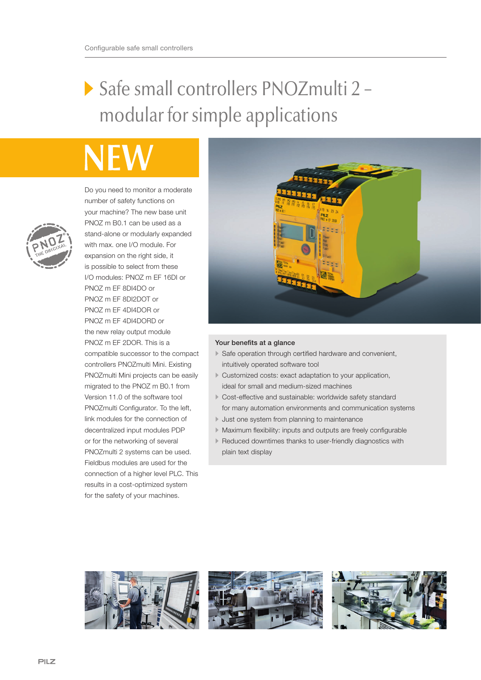## Safe small controllers PNOZmulti 2 – modular for simple applications



Do you need to monitor a moderate number of safety functions on your machine? The new base unit PNOZ m B0.1 can be used as a stand-alone or modularly expanded with max. one I/O module. For expansion on the right side, it is possible to select from these I/O modules: PNOZ m EF 16DI or PNOZ m EF 8DI4DO or PNOZ m EF 8DI2DOT or PNOZ m EF 4DI4DOR or PNOZ m EF 4DI4DORD or the new relay output module PNOZ m EF 2DOR. This is a compatible successor to the compact controllers PNOZmulti Mini. Existing PNOZmulti Mini projects can be easily migrated to the PNOZ m B0.1 from Version 11.0 of the software tool PNOZmulti Configurator. To the left, link modules for the connection of decentralized input modules PDP or for the networking of several PNOZmulti 2 systems can be used. Fieldbus modules are used for the connection of a higher level PLC. This results in a cost-optimized system for the safety of your machines.



## Your benefits at a glance

- Safe operation through certified hardware and convenient, intuitively operated software tool
- Customized costs: exact adaptation to your application, ideal for small and medium-sized machines
- Cost-effective and sustainable: worldwide safety standard for many automation environments and communication systems
- Just one system from planning to maintenance
- Maximum flexibility: inputs and outputs are freely configurable
- Reduced downtimes thanks to user-friendly diagnostics with plain text display